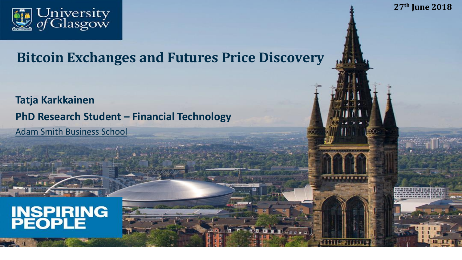

**Bitcoin Exchanges and Futures Price Discovery**

**27th June 2018**

**Tatja Karkkainen PhD Research Student – Financial Technology** Adam Smith Business School

# **INSPIRING**<br>PEOPLE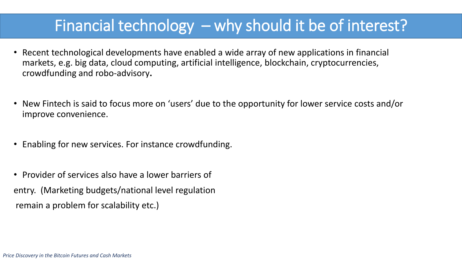### Financial technology – why should it be of interest?

- Recent technological developments have enabled a wide array of new applications in financial markets, e.g. big data, cloud computing, artificial intelligence, blockchain, cryptocurrencies, crowdfunding and robo-advisory**.**
- New Fintech is said to focus more on 'users' due to the opportunity for lower service costs and/or improve convenience.
- Enabling for new services. For instance crowdfunding.
- Provider of services also have a lower barriers of entry. (Marketing budgets/national level regulation remain a problem for scalability etc.)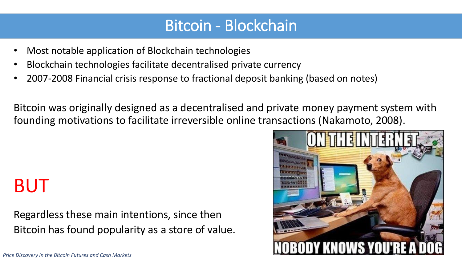### Bitcoin - Blockchain

- Most notable application of Blockchain technologies
- Blockchain technologies facilitate decentralised private currency
- 2007-2008 Financial crisis response to fractional deposit banking (based on notes)

Bitcoin was originally designed as a decentralised and private money payment system with founding motivations to facilitate irreversible online transactions (Nakamoto, 2008).

## BUT

Regardless these main intentions, since then Bitcoin has found popularity as a store of value.



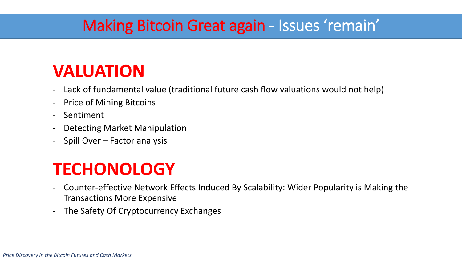### Making Bitcoin Great again - Issues 'remain'

### **VALUATION**

- Lack of fundamental value (traditional future cash flow valuations would not help)
- Price of Mining Bitcoins
- Sentiment
- Detecting Market Manipulation
- Spill Over Factor analysis

### **TECHONOLOGY**

- Counter-effective Network Effects Induced By Scalability: Wider Popularity is Making the Transactions More Expensive
- The Safety Of Cryptocurrency Exchanges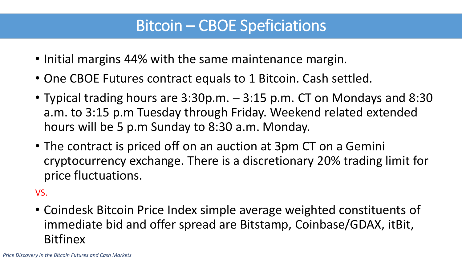### Bitcoin – CBOE Speficiations

- Initial margins 44% with the same maintenance margin.
- One CBOE Futures contract equals to 1 Bitcoin. Cash settled.
- Typical trading hours are 3:30p.m. 3:15 p.m. CT on Mondays and 8:30 a.m. to 3:15 p.m Tuesday through Friday. Weekend related extended hours will be 5 p.m Sunday to 8:30 a.m. Monday.
- The contract is priced off on an auction at 3pm CT on a Gemini cryptocurrency exchange. There is a discretionary 20% trading limit for price fluctuations.

VS.

• Coindesk Bitcoin Price Index simple average weighted constituents of immediate bid and offer spread are Bitstamp, Coinbase/GDAX, itBit, **Bitfinex**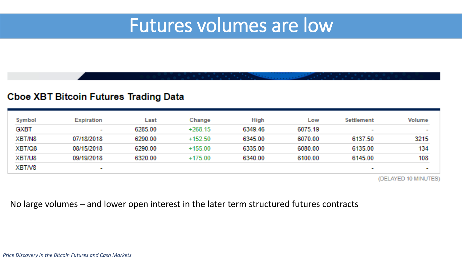### Futures volumes are low

#### **Cboe XBT Bitcoin Futures Trading Data**

| Symbol      | <b>Expiration</b> | Last    | Change    | <b>High</b> | Low     | <b>Settlement</b> | Volume        |
|-------------|-------------------|---------|-----------|-------------|---------|-------------------|---------------|
| <b>GXBT</b> | <b>Barried</b>    | 6285.00 | $+268.15$ | 6349.46     | 6075.19 | <b>COLOR</b>      | <b>COLOR</b>  |
| XBT/N8      | 07/18/2018        | 6290.00 | $+152.50$ | 6345.00     | 6070.00 | 6137.50           | 3215          |
| XBT/Q8      | 08/15/2018        | 6290.00 | $+155.00$ | 6335.00     | 6080.00 | 6135.00           | 134           |
| XBT/U8      | 09/19/2018        | 6320.00 | $+175.00$ | 6340.00     | 6100.00 | 6145.00           | 108           |
| XBT/V8      | <b>Bott</b>       |         |           |             |         | <b>COLOR</b>      | <b>The Co</b> |

(DELAYED 10 MINUTES)

#### No large volumes – and lower open interest in the later term structured futures contracts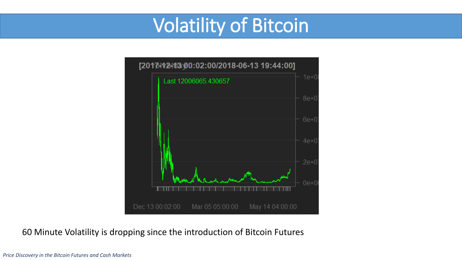## Volatility of Bitcoin



#### 60 Minute Volatility is dropping since the introduction of Bitcoin Futures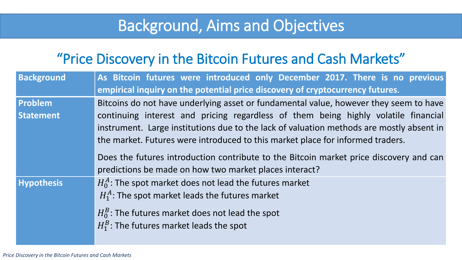### Background, Aims and Objectives

| <b>Background</b> | As Bitcoin futures were introduced only December 2017. There is no previous              |  |  |  |  |  |  |  |  |  |
|-------------------|------------------------------------------------------------------------------------------|--|--|--|--|--|--|--|--|--|
|                   | empirical inquiry on the potential price discovery of cryptocurrency futures.            |  |  |  |  |  |  |  |  |  |
| <b>Problem</b>    | Bitcoins do not have underlying asset or fundamental value, however they seem to have    |  |  |  |  |  |  |  |  |  |
| <b>Statement</b>  | continuing interest and pricing regardless of them being highly volatile financial       |  |  |  |  |  |  |  |  |  |
|                   | instrument. Large institutions due to the lack of valuation methods are mostly absent in |  |  |  |  |  |  |  |  |  |
|                   | the market. Futures were introduced to this market place for informed traders.           |  |  |  |  |  |  |  |  |  |
|                   | Does the futures introduction contribute to the Bitcoin market price discovery and can   |  |  |  |  |  |  |  |  |  |
|                   | predictions be made on how two market places interact?                                   |  |  |  |  |  |  |  |  |  |
| <b>Hypothesis</b> | $H_0^A$ : The spot market does not lead the futures market                               |  |  |  |  |  |  |  |  |  |
|                   | $H_1^A$ : The spot market leads the futures market                                       |  |  |  |  |  |  |  |  |  |
|                   | $H_0^B$ : The futures market does not lead the spot                                      |  |  |  |  |  |  |  |  |  |
|                   | $H_1^B$ : The futures market leads the spot                                              |  |  |  |  |  |  |  |  |  |
|                   |                                                                                          |  |  |  |  |  |  |  |  |  |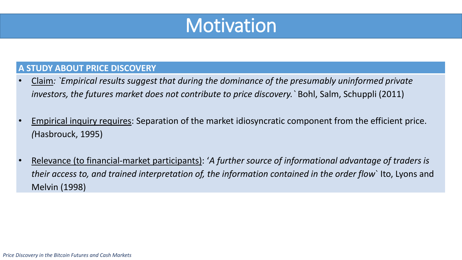

#### **A STUDY ABOUT PRICE DISCOVERY**

- Claim*: `Empirical results suggest that during the dominance of the presumably uninformed private investors, the futures market does not contribute to price discovery.`* Bohl, Salm, Schuppli (2011)
- Empirical inquiry requires: Separation of the market idiosyncratic component from the efficient price. *(*Hasbrouck, 1995)
- Relevance (to financial-market participants): '*A further source of informational advantage of traders is their access to, and trained interpretation of, the information contained in the order flow*` Ito, Lyons and Melvin (1998)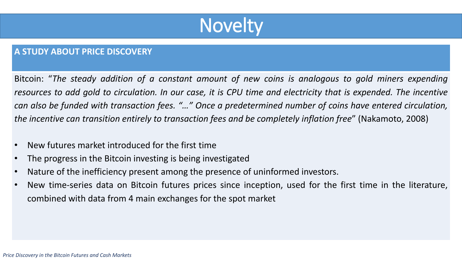

#### **A STUDY ABOUT PRICE DISCOVERY**

Bitcoin: "*The steady addition of a constant amount of new coins is analogous to gold miners expending* resources to add gold to circulation. In our case, it is CPU time and electricity that is expended. The incentive can also be funded with transaction fees. "..." Once a predetermined number of coins have entered circulation, *the incentive can transition entirely to transaction fees and be completely inflation free*" (Nakamoto, 2008)

- New futures market introduced for the first time
- The progress in the Bitcoin investing is being investigated
- Nature of the inefficiency present among the presence of uninformed investors.
- New time-series data on Bitcoin futures prices since inception, used for the first time in the literature, combined with data from 4 main exchanges for the spot market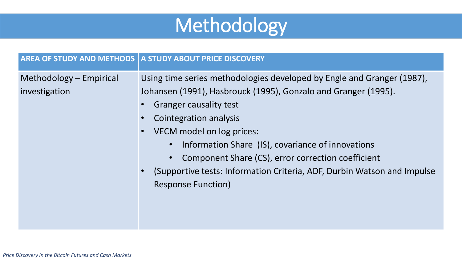

|                                          | <b>AREA OF STUDY AND METHODS A STUDY ABOUT PRICE DISCOVERY</b>                                                                                                                                                                                                                                                                                                                                                                                      |
|------------------------------------------|-----------------------------------------------------------------------------------------------------------------------------------------------------------------------------------------------------------------------------------------------------------------------------------------------------------------------------------------------------------------------------------------------------------------------------------------------------|
| Methodology – Empirical<br>investigation | Using time series methodologies developed by Engle and Granger (1987),<br>Johansen (1991), Hasbrouck (1995), Gonzalo and Granger (1995).<br><b>Granger causality test</b><br>Cointegration analysis<br>VECM model on log prices:<br>Information Share (IS), covariance of innovations<br>Component Share (CS), error correction coefficient<br>(Supportive tests: Information Criteria, ADF, Durbin Watson and Impulse<br><b>Response Function)</b> |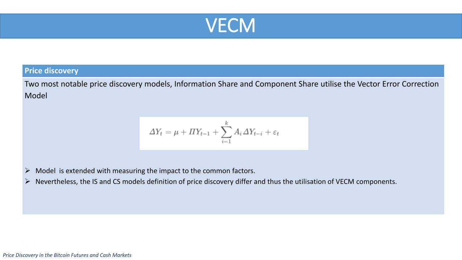

#### **Price discovery**

Two most notable price discovery models, Information Share and Component Share utilise the Vector Error Correction Model

$$
\varDelta Y_t = \mu + \varPi Y_{t-1} + \sum_{i=1}^k A_i \varDelta Y_{t-i} + \varepsilon_t
$$

 $\triangleright$  Model is extended with measuring the impact to the common factors.

➢ Nevertheless, the IS and CS models definition of price discovery differ and thus the utilisation of VECM components.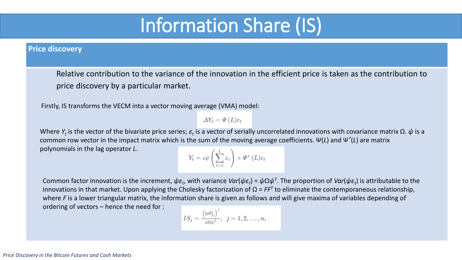## Information Share (IS)

#### **Price discovery**

Relative contribution to the variance of the innovation in the efficient price is taken as the contribution to price discovery by a particular market.

Firstly, IS transforms the VECM into a vector moving average (VMA) model:

 $\varDelta Y_t = \varPsi(L)\varepsilon_t$ 

Where  $Y_t$  is the vector of the bivariate price series;  $\varepsilon_t$  is a vector of serially uncorrelated innovations with covariance matrix  $\Omega$ .  $\psi$  is a common row vector in the impact matrix which is the sum of the moving average coefficients. Ψ(*L*) and Ψ*\** (*L*) are matrix polynomials in the lag operator *L*.

$$
Y_t = \iota \psi \left( \sum_{i=1}^t \varepsilon_i \right) + \Psi^* \left( L \right) \varepsilon_t
$$

Common factor innovation is the increment,  $\psi \varepsilon_t$ , with variance *Var*( $\psi \varepsilon_t$ ) =  $\psi \Omega \psi^{\tau}$ . The proportion of *Var*( $\psi \varepsilon_t$ ) is attributable to the innovations in that market. Upon applying the Cholesky factorization of Ω = *FF<sup>T</sup>* to eliminate the contemporaneous relationship, where *F* is a lower triangular matrix, the information share is given as follows and will give maxima of variables depending of ordering of vectors – hence the need for :

$$
IS_j = \frac{\left([\psi\text{F}]_j\right)^2}{\psi\Omega\psi^T},\;\;j=1,2,\ldots,n,
$$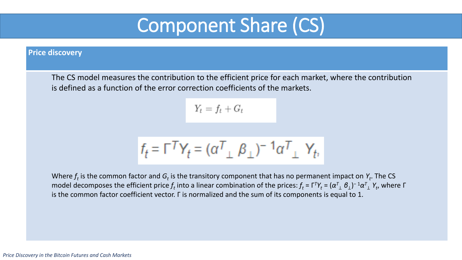## Component Share (CS)

#### **Price discovery**

The CS model measures the contribution to the efficient price for each market, where the contribution is defined as a function of the error correction coefficients of the markets.

 $Y_t = f_t + G_t$ 

$$
f_t = \Gamma^T Y_t = (\alpha^T \mathstrut_{\perp} \beta \mathstrut_{\perp})^{-1} \alpha^T \mathstrut_{\perp} Y_t,
$$

Where  $f_t$  is the common factor and  $G_t$  is the transitory component that has no permanent impact on  $Y_t$ . The CS model decomposes the efficient price  $f_t$  into a linear combination of the prices:  $f_t$  =  $\Gamma^7Y_t$  =  $(\alpha^7\llcorner\, \beta\llcorner)^ ^1\alpha^7\llcorner\, Y_t$ , where  $\Gamma$ is the common factor coefficient vector. Г is normalized and the sum of its components is equal to 1.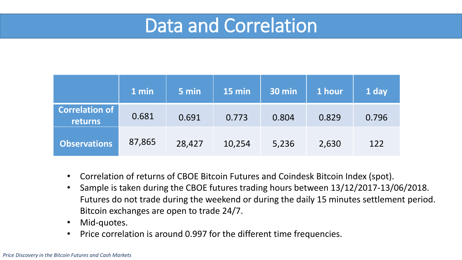## Data and Correlation

|                                  | 1 min  | 5 min  | 15 min | <b>30 min</b> | 1 hour | 1 day |
|----------------------------------|--------|--------|--------|---------------|--------|-------|
| <b>Correlation of</b><br>returns | 0.681  | 0.691  | 0.773  | 0.804         | 0.829  | 0.796 |
| <b>Observations</b>              | 87,865 | 28,427 | 10,254 | 5,236         | 2,630  | 122   |

- Correlation of returns of CBOE Bitcoin Futures and Coindesk Bitcoin Index (spot).
- Sample is taken during the CBOE futures trading hours between 13/12/2017-13/06/2018. Futures do not trade during the weekend or during the daily 15 minutes settlement period. Bitcoin exchanges are open to trade 24/7.
- Mid-quotes.
- Price correlation is around 0.997 for the different time frequencies.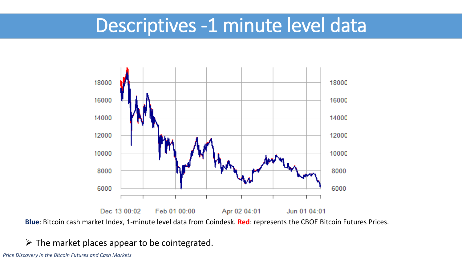### Descriptives -1 minute level data



**Blue**: Bitcoin cash market Index, 1-minute level data from Coindesk. **Red**: represents the CBOE Bitcoin Futures Prices.

#### $\triangleright$  The market places appear to be cointegrated.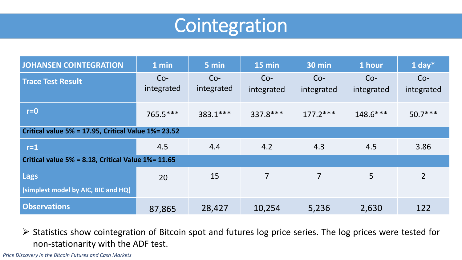## Cointegration

| <b>JOHANSEN COINTEGRATION</b>                        | 1 min               | 5 min               | 15 min              | <b>30 min</b>       | 1 hour              | 1 day $*$           |  |  |  |
|------------------------------------------------------|---------------------|---------------------|---------------------|---------------------|---------------------|---------------------|--|--|--|
| <b>Trace Test Result</b>                             | $Co-$<br>integrated | $Co-$<br>integrated | $Co-$<br>integrated | $Co-$<br>integrated | $Co-$<br>integrated | $Co-$<br>integrated |  |  |  |
| $r = 0$                                              | 765.5 ***           | $383.1***$          | 337.8 ***           | $177.2***$          | $148.6***$          | $50.7***$           |  |  |  |
| Critical value 5% = 17.95, Critical Value 1% = 23.52 |                     |                     |                     |                     |                     |                     |  |  |  |
| $r=1$                                                | 4.5                 | 4.4                 | 4.2                 | 4.3                 | 4.5                 | 3.86                |  |  |  |
| Critical value 5% = 8.18, Critical Value 1% = 11.65  |                     |                     |                     |                     |                     |                     |  |  |  |
| Lags<br>(simplest model by AIC, BIC and HQ)          | 20                  | 15                  | $\overline{7}$      | $\overline{7}$      | 5                   | $\overline{2}$      |  |  |  |
| <b>Observations</b>                                  | 87,865              | 28,427              | 10,254              | 5,236               | 2,630               | 122                 |  |  |  |

➢ Statistics show cointegration of Bitcoin spot and futures log price series. The log prices were tested for non-stationarity with the ADF test.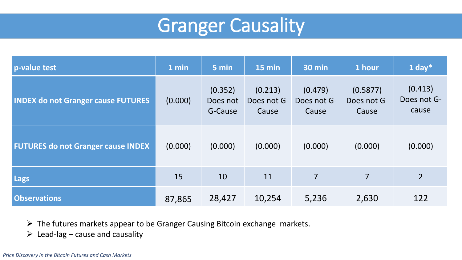

| p-value test                              | 1 min   | 5 min                          | 15 min                          | <b>30 min</b>                   | 1 hour                           | 1 day $*$                       |
|-------------------------------------------|---------|--------------------------------|---------------------------------|---------------------------------|----------------------------------|---------------------------------|
| <b>INDEX do not Granger cause FUTURES</b> | (0.000) | (0.352)<br>Does not<br>G-Cause | (0.213)<br>Does not G-<br>Cause | (0.479)<br>Does not G-<br>Cause | (0.5877)<br>Does not G-<br>Cause | (0.413)<br>Does not G-<br>cause |
| <b>FUTURES do not Granger cause INDEX</b> | (0.000) | (0.000)                        | (0.000)                         | (0.000)                         | (0.000)                          | (0.000)                         |
| <b>Lags</b>                               | 15      | 10                             | 11                              | $\overline{7}$                  | $\overline{7}$                   | $\overline{2}$                  |
| <b>Observations</b>                       | 87,865  | 28,427                         | 10,254                          | 5,236                           | 2,630                            | 122                             |

➢ The futures markets appear to be Granger Causing Bitcoin exchange markets.

 $\triangleright$  Lead-lag – cause and causality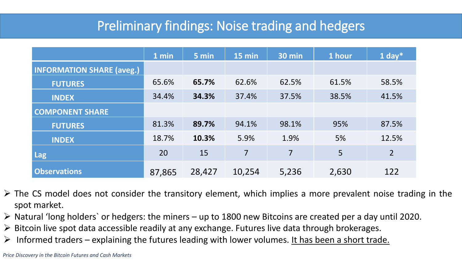### Preliminary findings: Noise trading and hedgers

|                                  | 1 min  | 5 min  | 15 min         | <b>30 min</b>  | 1 hour          | 1 day $*$      |
|----------------------------------|--------|--------|----------------|----------------|-----------------|----------------|
| <b>INFORMATION SHARE (aveg.)</b> |        |        |                |                |                 |                |
| <b>FUTURES</b>                   | 65.6%  | 65.7%  | 62.6%          | 62.5%          | 61.5%           | 58.5%          |
| <b>INDEX</b>                     | 34.4%  | 34.3%  | 37.4%          | 37.5%          | 38.5%           | 41.5%          |
| <b>COMPONENT SHARE</b>           |        |        |                |                |                 |                |
| <b>FUTURES</b>                   | 81.3%  | 89.7%  | 94.1%          | 98.1%          | 95%             | 87.5%          |
| <b>INDEX</b>                     | 18.7%  | 10.3%  | 5.9%           | 1.9%           | 5%              | 12.5%          |
| <b>Lag</b>                       | 20     | 15     | $\overline{7}$ | $\overline{7}$ | $5\overline{)}$ | $\overline{2}$ |
| <b>Observations</b>              | 87,865 | 28,427 | 10,254         | 5,236          | 2,630           | 122            |

- $\triangleright$  The CS model does not consider the transitory element, which implies a more prevalent noise trading in the spot market.
- ➢ Natural 'long holders` or hedgers: the miners up to 1800 new Bitcoins are created per a day until 2020.
- $\triangleright$  Bitcoin live spot data accessible readily at any exchange. Futures live data through brokerages.
- $\triangleright$  Informed traders explaining the futures leading with lower volumes. It has been a short trade.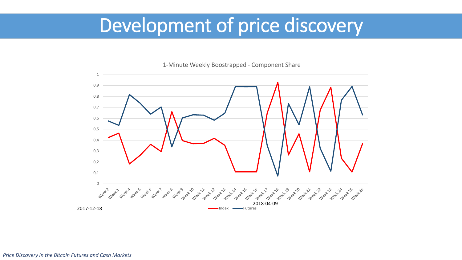## Development of price discovery



1-Minute Weekly Boostrapped - Component Share